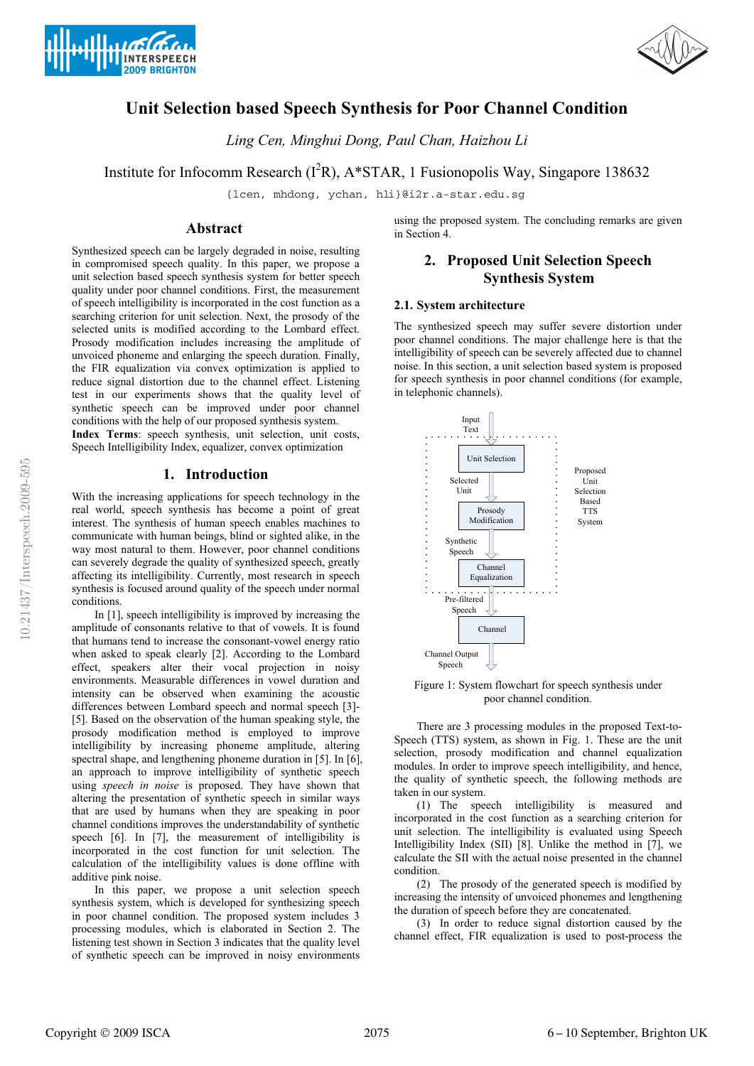



# **Unit Selection based Speech Synthesis for Poor Channel Condition**

*Ling Cen, Minghui Dong, Paul Chan, Haizhou Li*

Institute for Infocomm Research ( $I^2R$ ), A\*STAR, 1 Fusionopolis Way, Singapore 138632

{lcen, mhdong, ychan, hli}@i2r.a-star.edu.sg

## **Abstract**

Synthesized speech can be largely degraded in noise, resulting in compromised speech quality. In this paper, we propose a unit selection based speech synthesis system for better speech quality under poor channel conditions. First, the measurement of speech intelligibility is incorporated in the cost function as a searching criterion for unit selection. Next, the prosody of the selected units is modified according to the Lombard effect. Prosody modification includes increasing the amplitude of unvoiced phoneme and enlarging the speech duration. Finally, the FIR equalization via convex optimization is applied to reduce signal distortion due to the channel effect. Listening test in our experiments shows that the quality level of synthetic speech can be improved under poor channel conditions with the help of our proposed synthesis system.

**Index Terms**: speech synthesis, unit selection, unit costs, Speech Intelligibility Index, equalizer, convex optimization

## **1. Introduction**

With the increasing applications for speech technology in the real world, speech synthesis has become a point of great interest. The synthesis of human speech enables machines to communicate with human beings, blind or sighted alike, in the way most natural to them. However, poor channel conditions can severely degrade the quality of synthesized speech, greatly affecting its intelligibility. Currently, most research in speech synthesis is focused around quality of the speech under normal conditions.

In [1], speech intelligibility is improved by increasing the amplitude of consonants relative to that of vowels. It is found that humans tend to increase the consonant-vowel energy ratio when asked to speak clearly [2]. According to the Lombard effect, speakers alter their vocal projection in noisy environments. Measurable differences in vowel duration and intensity can be observed when examining the acoustic differences between Lombard speech and normal speech [3]- [5]. Based on the observation of the human speaking style, the prosody modification method is employed to improve intelligibility by increasing phoneme amplitude, altering spectral shape, and lengthening phoneme duration in [5]. In [6], an approach to improve intelligibility of synthetic speech using *speech in noise* is proposed. They have shown that altering the presentation of synthetic speech in similar ways that are used by humans when they are speaking in poor channel conditions improves the understandability of synthetic speech [6]. In [7], the measurement of intelligibility is incorporated in the cost function for unit selection. The calculation of the intelligibility values is done offline with additive pink noise.

In this paper, we propose a unit selection speech synthesis system, which is developed for synthesizing speech in poor channel condition. The proposed system includes 3 processing modules, which is elaborated in Section 2. The listening test shown in Section 3 indicates that the quality level of synthetic speech can be improved in noisy environments using the proposed system. The concluding remarks are given in Section 4.

## **2. Proposed Unit Selection Speech Synthesis System**

### **2.1. System architecture**

The synthesized speech may suffer severe distortion under poor channel conditions. The major challenge here is that the intelligibility of speech can be severely affected due to channel noise. In this section, a unit selection based system is proposed for speech synthesis in poor channel conditions (for example, in telephonic channels).



Figure 1: System flowchart for speech synthesis under poor channel condition.

There are 3 processing modules in the proposed Text-to-Speech (TTS) system, as shown in Fig. 1. These are the unit selection, prosody modification and channel equalization modules. In order to improve speech intelligibility, and hence, the quality of synthetic speech, the following methods are taken in our system.

(1) The speech intelligibility is measured and incorporated in the cost function as a searching criterion for unit selection. The intelligibility is evaluated using Speech Intelligibility Index (SII) [8]. Unlike the method in [7], we calculate the SII with the actual noise presented in the channel condition.

(2) The prosody of the generated speech is modified by increasing the intensity of unvoiced phonemes and lengthening the duration of speech before they are concatenated.

(3) In order to reduce signal distortion caused by the channel effect, FIR equalization is used to post-process the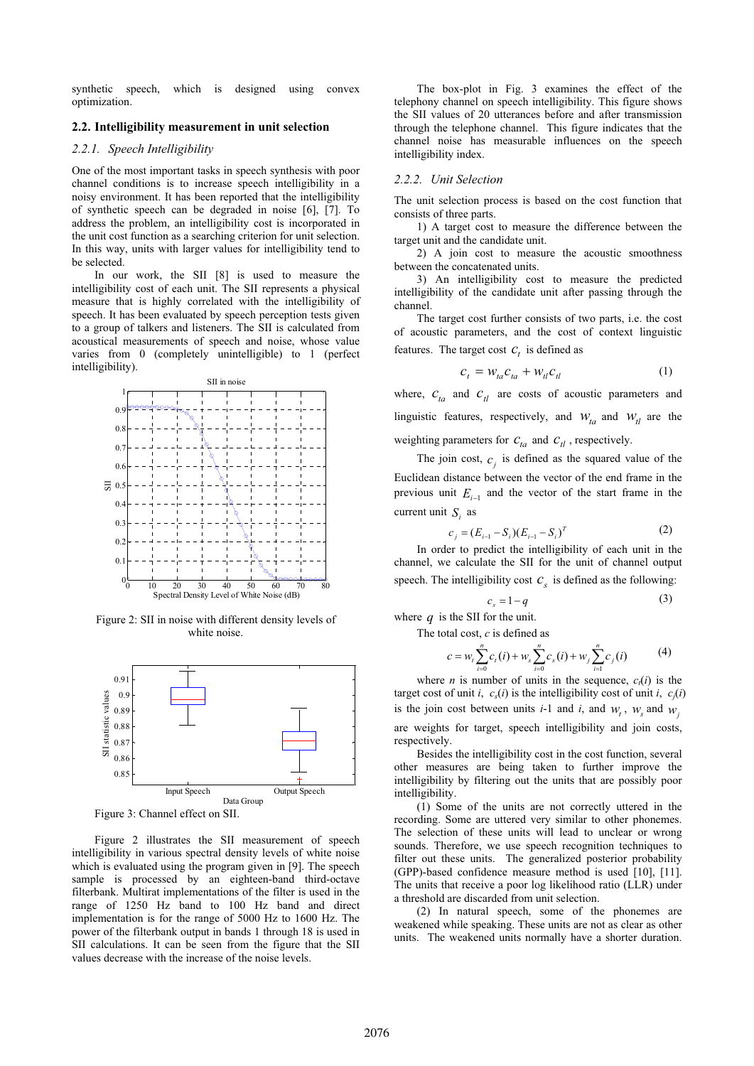synthetic speech, which is designed using convex optimization.

## **2.2. Intelligibility measurement in unit selection**

## *2.2.1. Speech Intelligibility*

One of the most important tasks in speech synthesis with poor channel conditions is to increase speech intelligibility in a noisy environment. It has been reported that the intelligibility of synthetic speech can be degraded in noise [6], [7]. To address the problem, an intelligibility cost is incorporated in the unit cost function as a searching criterion for unit selection. In this way, units with larger values for intelligibility tend to be selected.

In our work, the SII [8] is used to measure the intelligibility cost of each unit. The SII represents a physical measure that is highly correlated with the intelligibility of speech. It has been evaluated by speech perception tests given to a group of talkers and listeners. The SII is calculated from acoustical measurements of speech and noise, whose value varies from 0 (completely unintelligible) to 1 (perfect intelligibility).



Figure 2: SII in noise with different density levels of white noise.



Figure 3: Channel effect on SII.

Figure 2 illustrates the SII measurement of speech intelligibility in various spectral density levels of white noise which is evaluated using the program given in [9]. The speech sample is processed by an eighteen-band third-octave filterbank. Multirat implementations of the filter is used in the range of 1250 Hz band to 100 Hz band and direct implementation is for the range of 5000 Hz to 1600 Hz. The power of the filterbank output in bands 1 through 18 is used in SII calculations. It can be seen from the figure that the SII values decrease with the increase of the noise levels.

The box-plot in Fig. 3 examines the effect of the telephony channel on speech intelligibility. This figure shows the SII values of 20 utterances before and after transmission through the telephone channel. This figure indicates that the channel noise has measurable influences on the speech intelligibility index.

#### *2.2.2. Unit Selection*

The unit selection process is based on the cost function that consists of three parts.

1) A target cost to measure the difference between the target unit and the candidate unit.

2) A join cost to measure the acoustic smoothness between the concatenated units.

3) An intelligibility cost to measure the predicted intelligibility of the candidate unit after passing through the channel.

The target cost further consists of two parts, i.e. the cost of acoustic parameters, and the cost of context linguistic features. The target cost  $C_t$  is defined as

$$
c_t = W_{ta} c_{ta} + W_{tl} c_{tl} \tag{1}
$$

where,  $c_{ta}$  and  $c_{tl}$  are costs of acoustic parameters and linguistic features, respectively, and  $W_{ta}$  and  $W_{tl}$  are the weighting parameters for  $C_{ta}$  and  $C_{tl}$ , respectively.

The join cost,  $c_i$  is defined as the squared value of the Euclidean distance between the vector of the end frame in the previous unit  $E_{i-1}$  and the vector of the start frame in the current unit *S<sub>i</sub>* as

$$
c_j = (E_{i-1} - S_i)(E_{i-1} - S_i)^T
$$
 (2)

In order to predict the intelligibility of each unit in the channel, we calculate the SII for the unit of channel output speech. The intelligibility cost  $c<sub>s</sub>$  is defined as the following:

$$
c_s = 1 - q \tag{3}
$$

where  $q$  is the SII for the unit. The total cost, *c* is defined as

$$
c = w_t \sum_{i=0}^{n} c_i(i) + w_s \sum_{i=0}^{n} c_s(i) + w_j \sum_{i=1}^{n} c_j(i)
$$
 (4)

where *n* is number of units in the sequence,  $c_t(i)$  is the target cost of unit *i*,  $c_s(i)$  is the intelligibility cost of unit *i*,  $c_j(i)$ is the join cost between units *i*-1 and *i*, and  $w_i$ ,  $w_i$  and  $w_j$ 

are weights for target, speech intelligibility and join costs, respectively.

Besides the intelligibility cost in the cost function, several other measures are being taken to further improve the intelligibility by filtering out the units that are possibly poor intelligibility.

(1) Some of the units are not correctly uttered in the recording. Some are uttered very similar to other phonemes. The selection of these units will lead to unclear or wrong sounds. Therefore, we use speech recognition techniques to filter out these units. The generalized posterior probability (GPP)-based confidence measure method is used [10], [11]. The units that receive a poor log likelihood ratio (LLR) under a threshold are discarded from unit selection.

(2) In natural speech, some of the phonemes are weakened while speaking. These units are not as clear as other units. The weakened units normally have a shorter duration.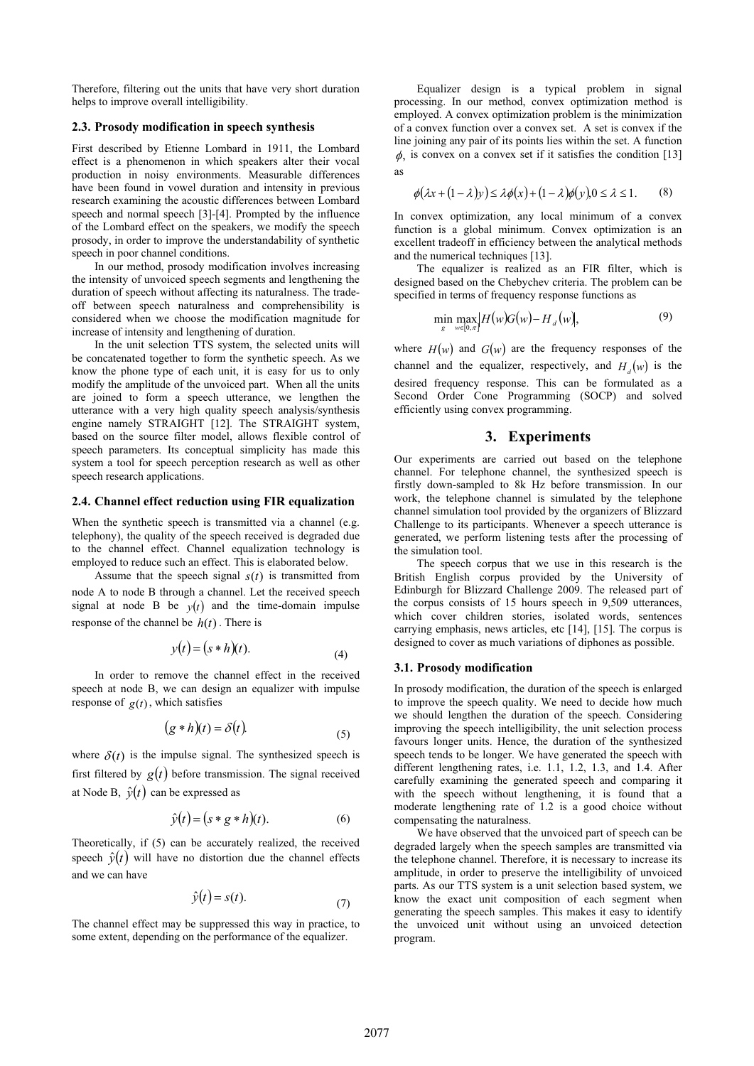Therefore, filtering out the units that have very short duration helps to improve overall intelligibility.

#### **2.3. Prosody modification in speech synthesis**

First described by Etienne Lombard in 1911, the Lombard effect is a phenomenon in which speakers alter their vocal production in noisy environments. Measurable differences have been found in vowel duration and intensity in previous research examining the acoustic differences between Lombard speech and normal speech [3]-[4]. Prompted by the influence of the Lombard effect on the speakers, we modify the speech prosody, in order to improve the understandability of synthetic speech in poor channel conditions.

In our method, prosody modification involves increasing the intensity of unvoiced speech segments and lengthening the duration of speech without affecting its naturalness. The tradeoff between speech naturalness and comprehensibility is considered when we choose the modification magnitude for increase of intensity and lengthening of duration.

In the unit selection TTS system, the selected units will be concatenated together to form the synthetic speech. As we know the phone type of each unit, it is easy for us to only modify the amplitude of the unvoiced part. When all the units are joined to form a speech utterance, we lengthen the utterance with a very high quality speech analysis/synthesis engine namely STRAIGHT [12]. The STRAIGHT system, based on the source filter model, allows flexible control of speech parameters. Its conceptual simplicity has made this system a tool for speech perception research as well as other speech research applications.

#### **2.4. Channel effect reduction using FIR equalization**

When the synthetic speech is transmitted via a channel (e.g. telephony), the quality of the speech received is degraded due to the channel effect. Channel equalization technology is employed to reduce such an effect. This is elaborated below.

Assume that the speech signal  $s(t)$  is transmitted from node A to node B through a channel. Let the received speech signal at node B be  $y(t)$  and the time-domain impulse response of the channel be  $h(t)$ . There is

$$
y(t) = (s * h)(t).
$$
\n<sup>(4)</sup>

In order to remove the channel effect in the received speech at node B, we can design an equalizer with impulse response of  $g(t)$ , which satisfies

$$
(g * h)(t) = \delta(t).
$$
\n(5)

where  $\delta(t)$  is the impulse signal. The synthesized speech is first filtered by  $g(t)$  before transmission. The signal received at Node B,  $\hat{v}(t)$  can be expressed as

$$
\hat{y}(t) = (s * g * h)(t). \tag{6}
$$

Theoretically, if (5) can be accurately realized, the received speech  $\hat{y}(t)$  will have no distortion due the channel effects and we can have

$$
\hat{y}(t) = s(t). \tag{7}
$$

The channel effect may be suppressed this way in practice, to some extent, depending on the performance of the equalizer.

Equalizer design is a typical problem in signal processing. In our method, convex optimization method is employed. A convex optimization problem is the minimization of a convex function over a convex set. A set is convex if the line joining any pair of its points lies within the set. A function  $\phi$ , is convex on a convex set if it satisfies the condition [13] as

$$
\phi(\lambda x + (1 - \lambda)y) \le \lambda \phi(x) + (1 - \lambda)\phi(y), 0 \le \lambda \le 1. \tag{8}
$$

In convex optimization, any local minimum of a convex function is a global minimum. Convex optimization is an excellent tradeoff in efficiency between the analytical methods and the numerical techniques [13].

The equalizer is realized as an FIR filter, which is designed based on the Chebychev criteria. The problem can be specified in terms of frequency response functions as

$$
\min_{g} \max_{w \in [0,\pi]} |H(w)G(w) - H_d(w)|, \tag{9}
$$

where  $H(w)$  and  $G(w)$  are the frequency responses of the channel and the equalizer, respectively, and  $H_d(w)$  is the desired frequency response. This can be formulated as a Second Order Cone Programming (SOCP) and solved efficiently using convex programming.

## **3. Experiments**

Our experiments are carried out based on the telephone channel. For telephone channel, the synthesized speech is firstly down-sampled to 8k Hz before transmission. In our work, the telephone channel is simulated by the telephone channel simulation tool provided by the organizers of Blizzard Challenge to its participants. Whenever a speech utterance is generated, we perform listening tests after the processing of the simulation tool.

The speech corpus that we use in this research is the British English corpus provided by the University of Edinburgh for Blizzard Challenge 2009. The released part of the corpus consists of 15 hours speech in 9,509 utterances, which cover children stories, isolated words, sentences carrying emphasis, news articles, etc [14], [15]. The corpus is designed to cover as much variations of diphones as possible.

#### **3.1. Prosody modification**

In prosody modification, the duration of the speech is enlarged to improve the speech quality. We need to decide how much we should lengthen the duration of the speech. Considering improving the speech intelligibility, the unit selection process favours longer units. Hence, the duration of the synthesized speech tends to be longer. We have generated the speech with different lengthening rates, i.e. 1.1, 1.2, 1.3, and 1.4. After carefully examining the generated speech and comparing it with the speech without lengthening, it is found that a moderate lengthening rate of 1.2 is a good choice without compensating the naturalness.

We have observed that the unvoiced part of speech can be degraded largely when the speech samples are transmitted via the telephone channel. Therefore, it is necessary to increase its amplitude, in order to preserve the intelligibility of unvoiced parts. As our TTS system is a unit selection based system, we know the exact unit composition of each segment when generating the speech samples. This makes it easy to identify the unvoiced unit without using an unvoiced detection program.